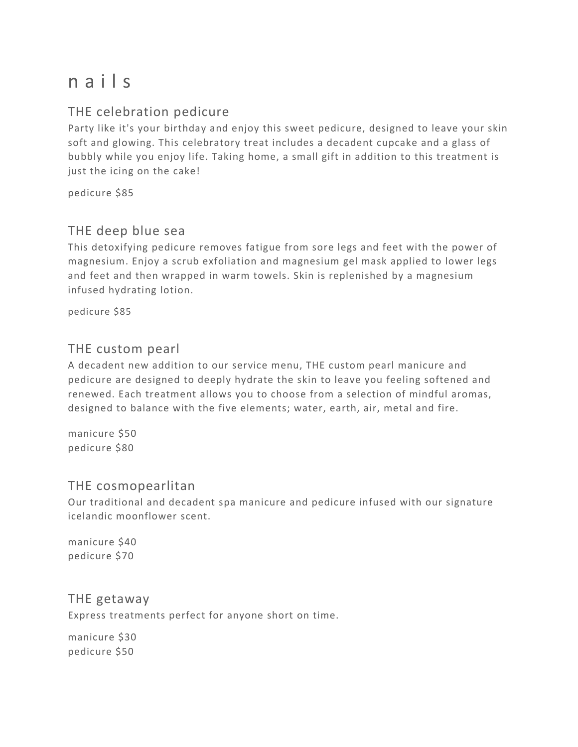# n a i l s

## THE celebration pedicure

Party like it's your birthday and enjoy this sweet pedicure, designed to leave your skin soft and glowing. This celebratory treat includes a decadent cupcake and a glass of bubbly while you enjoy life. Taking home, a small gift in addition to this treatment is just the icing on the cake!

pedicure \$85

### THE deep blue sea

This detoxifying pedicure removes fatigue from sore legs and feet with the power of magnesium. Enjoy a scrub exfoliation and magnesium gel mask applied to lower legs and feet and then wrapped in warm towels. Skin is replenished by a magnesium infused hydrating lotion.

pedicure \$85

#### THE custom pearl

A decadent new addition to our service menu, THE custom pearl manicure and pedicure are designed to deeply hydrate the skin to leave you feeling softened and renewed. Each treatment allows you to choose from a selection of mindful aromas, designed to balance with the five elements; water, earth, air, metal and fire.

manicure \$50 pedicure \$80

#### THE cosmopearlitan

Our traditional and decadent spa manicure and pedicure infused with our signature icelandic moonflower scent.

manicure \$40 pedicure \$70

#### THE getaway

Express treatments perfect for anyone short on time.

manicure \$30 pedicure \$50